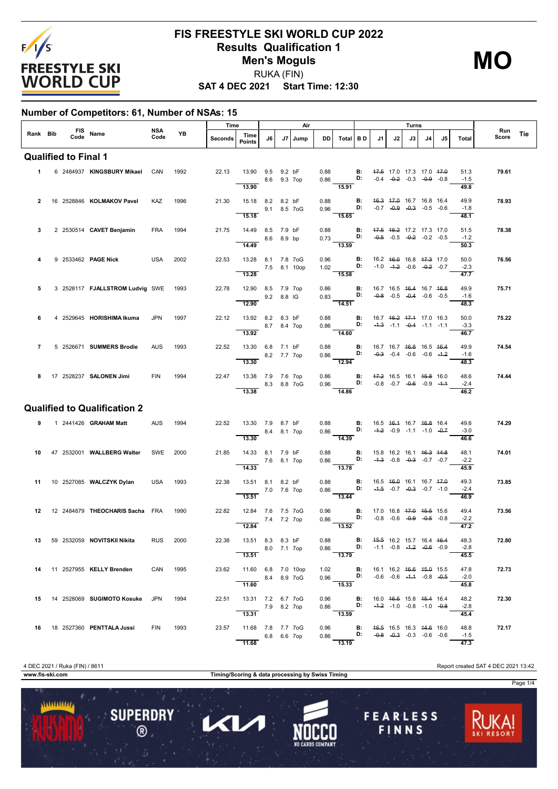

# **FIS FREESTYLE SKI WORLD CUP 2022 Results Qualification 1 Men's Moguls** RUKA (FIN)

**MO**

**SAT 4 DEC 2021 Start Time: 12:30**

#### **Number of Competitors: 61, Number of NSAs: 15**

|                |  |                             |                                      |             |      | Time    |                                              |              |    | Air  |              |                                                                                                                                      |                                                                |    |                                                                                      | Turns |    |    |                        |              |     |
|----------------|--|-----------------------------|--------------------------------------|-------------|------|---------|----------------------------------------------|--------------|----|------|--------------|--------------------------------------------------------------------------------------------------------------------------------------|----------------------------------------------------------------|----|--------------------------------------------------------------------------------------|-------|----|----|------------------------|--------------|-----|
| Rank Bib       |  |                             | FIS Name<br>Code Name                | NSA<br>Code | YB   | Seconds | Time<br><b>Points</b>                        | J6           | J7 | Jump | <b>DD</b>    | Total BD                                                                                                                             |                                                                | J1 | J2                                                                                   | J3    | J4 | J5 | Total                  | Run<br>Score | Tie |
|                |  | <b>Qualified to Final 1</b> |                                      |             |      |         |                                              |              |    |      |              |                                                                                                                                      |                                                                |    |                                                                                      |       |    |    |                        |              |     |
| $\mathbf 1$    |  |                             | 6 2484937 KINGSBURY Mikael           | CAN         | 1992 | 22.13   | 13.90 9.5 9.2 bF<br>13.90                    | 8.6 9.3 7op  |    |      |              | 0.88<br>0.86 <b>D:</b> $-0.4$ $-0.2$ $-0.3$ $-0.9$ $-0.8$<br>$\overline{15.91}$                                                      |                                                                |    | <b>B:</b> 47.5 17.0 17.3 17.0 47.0                                                   |       |    |    | 51.3<br>$-1.5$<br>49.8 | 79.61        |     |
| $\overline{2}$ |  |                             | 16 2528846 KOLMAKOV Pavel            | KAZ         | 1996 | 21.30   | 15.18 8.2 8.2 bF<br>15.18                    | 9.1 8.5 7 oG |    |      | 0.88<br>0.96 | 15.65                                                                                                                                |                                                                |    | <b>B:</b> 46.3 47.0 16.7 16.8 16.4<br><b>D:</b> $-0.7$ $-0.9$ $-0.3$ $-0.5$ $-0.6$   |       |    |    | 49.9<br>$-1.8$<br>48.1 | 78.93        |     |
| 3              |  |                             | 2 2530514 CAVET Benjamin             | <b>FRA</b>  | 1994 | 21.75   | 14.49 8.5 7.9 bF<br>14.49                    | 8.6 8.9 bp   |    |      | 0.88         | 0.73<br>13.59                                                                                                                        | D:                                                             |    | <b>B:</b> 47.5 46.2 17.2 17.3 17.0<br>$-0.5$ $-0.5$ $-0.2$ $-0.2$ $-0.5$             |       |    |    | 51.5<br>$-1.2$<br>50.3 | 78.38        |     |
| 4              |  |                             | 9 2533462 <b>PAGE Nick</b>           | USA         | 2002 | 22.53   | 13.28 8.1 7.8 7oG<br>7.5 8.1 10op<br>13.28   |              |    |      | 0.96         | 1.02 <b>D:</b> -1.0 -1.2 -0.6 -0.2 -0.7<br>15.58                                                                                     | <b>B:</b> 16.2 46.0 16.8 47.3 17.0                             |    |                                                                                      |       |    |    | 50.0<br>$-2.3$<br>47.7 | 76.56        |     |
| 5              |  |                             | 3 2528117 FJALLSTROM Ludvig SWE 1993 |             |      | 22.78   | 12.90 8.5 7.9 7op<br>12.90                   | 9.2 8.8 IG   |    |      | 0.86<br>0.83 | D:<br>$\overline{14.51}$                                                                                                             | <b>B:</b>                                                      |    | 16.7 16.5 <del>16.4</del> 16.7 <del>16.8</del><br>$-0.8$ $-0.5$ $-0.4$ $-0.6$ $-0.5$ |       |    |    | 49.9<br>$-1.6$<br>48.3 | 75.71        |     |
| 6              |  |                             | 4 2529645 HORISHIMA Ikuma            | JPN         | 1997 | 22.12   | 13.92 8.2 8.3 bF<br>8.7 8.4 7op<br>13.92     |              |    |      | 0.88         | 0.86 D: $-4.3$ $-1.1$ $-0.4$ $-1.1$ $-1.1$<br>$\frac{1}{14.60}$                                                                      | <b>B:</b> 16.7 <del>16.2 17.1</del> 17.0 16.3                  |    |                                                                                      |       |    |    | 50.0<br>$-3.3$<br>46.7 | 75.22        |     |
| $\overline{7}$ |  |                             | 5 2526671 SUMMERS Brodie             | <b>AUS</b>  | 1993 | 22.52   | 13.30 6.8 7.1 bF<br>13.30                    | 8.2 7.7 7op  |    |      | 0.88<br>0.86 | 12.94                                                                                                                                | <b>B:</b> 16.7 16.7 <del>16.8</del> 16.5 <del>16.4</del><br>D: |    | $-0.3$ $-0.4$ $-0.6$ $-0.6$ $-1.2$                                                   |       |    |    | 49.9<br>$-1.6$<br>48.3 | 74.54        |     |
| 8              |  |                             | 17 2528237 SALONEN Jimi              | <b>FIN</b>  | 1994 | 22.47   | 13.38 7.9 7.6 7op<br>13.38                   | 8.3 8.8 7oG  |    |      | 0.86<br>0.96 | 14.86                                                                                                                                | <b>D:</b> $-0.8$ $-0.7$ $-0.6$ $-0.9$ $-4.4$                   |    | <b>B:</b> 47.2 16.5 16.1 45.8 16.0                                                   |       |    |    | 48.6<br>$-2.4$<br>46.2 | 74.44        |     |
|                |  |                             | <b>Qualified to Qualification 2</b>  |             |      |         |                                              |              |    |      |              |                                                                                                                                      |                                                                |    |                                                                                      |       |    |    |                        |              |     |
| 9              |  |                             | 1 2441426 <b>GRAHAM Matt</b>         | <b>AUS</b>  | 1994 | 22.52   | 13.30 7.9 8.7 bF<br>13.30                    | 8.4 8.1 7op  |    |      | 0.88<br>0.86 | D:<br>$\frac{1}{14.39}$                                                                                                              | $\blacksquare$                                                 |    | 16.5 46.4 16.7 46.8 16.4<br>$-4.2$ $-0.9$ $-1.1$ $-1.0$ $-0.7$                       |       |    |    | 49.6<br>$-3.0$<br>46.6 | 74.29        |     |
| 10             |  |                             | 47 2532001 WALLBERG Walter           | SWE         | 2000 | 21.85   | 14.33 8.1 7.9 bF<br>14.33                    | 7.6 8.1 7op  |    |      | 0.88<br>0.86 | <b>D:</b> $-4.3$ $-0.8$ $-0.3$ $-0.7$ $-0.7$<br>$-13.78$                                                                             |                                                                |    | <b>B:</b> 15.8 16.2 16.1 46.3 44.8                                                   |       |    |    | 48.1<br>$-2.2$<br>45.9 | 74.01        |     |
| 11             |  |                             | 10 2527085 WALCZYK Dylan             | <b>USA</b>  | 1993 | 22.38   | 13.51 8.1 8.2 bF<br>13.51                    | 7.0 7.6 7op  |    |      | 0.88<br>0.86 | 13.44                                                                                                                                | <b>B:</b> 16.5 46.0 16.1 16.7 47.0<br>D:                       |    | $-4.5$ $-0.7$ $-0.3$ $-0.7$ $-1.0$                                                   |       |    |    | 49.3<br>$-2.4$<br>46.9 | 73.85        |     |
| 12             |  |                             | 12 2484879 THEOCHARIS Sacha FRA      |             | 1990 | 22.82   | 12.84 7.6 7.5 7oG<br>12.84                   | 7.4 7.2 7op  |    |      | 0.96<br>0.86 | 13.52                                                                                                                                | <b>B:</b><br>D:                                                |    | 17.0 16.8 <del>17.0</del> <del>15.5</del> 15.6<br>$-0.8$ $-0.6$ $-0.9$ $-0.5$ $-0.8$ |       |    |    | 49.4<br>$-2.2$<br>47.2 | 73.56        |     |
|                |  |                             | 13 59 2532059 NOVITSKII Nikita       | RUS 2000    |      | 22.38   | 13.51 8.3 8.3 bF<br>8.0 7.1 7op<br>13.51     |              |    |      |              | 0.88 <b>B:</b> $\frac{45.5}{10.86}$ 16.2 15.7 16.4 16.4<br>0.86 <b>D:</b> -1.1 -0.8 -1. <del>2</del> -0.6 -0.9<br>$\overline{13.79}$ |                                                                |    |                                                                                      |       |    |    | 48.3<br>$-2.8$<br>45.5 | 72.80        |     |
|                |  |                             | 14 11 2527955 KELLY Brenden          | CAN 1995    |      | 23.62   | 11.60 6.8 7.0 10op<br>8.4 8.9 7 o G<br>11.60 |              |    |      |              | 1.02 <b>B</b> : 16.1 16.2 1 <del>0.6</del> 15.9 15.5<br>0.96 <b>D</b> : -0.6 -0.6 -1.1 -0.8 -0.5<br>15.33                            |                                                                |    |                                                                                      |       |    |    | 47.8<br>$-2.0$<br>45.8 | 72.73        |     |
|                |  |                             | 15 14 2528069 SUGIMOTO Kosuke        | JPN         | 1994 | 22.51   | 13.31 7.2 6.7 7oG<br>7.9 8.2 7op<br>13.31    |              |    |      |              | $0.96$ B:<br>0.86 <b>D:</b> $-4.2$ -1.0 -0.8 -1.0 -0.8<br>13.59                                                                      |                                                                |    | 16.0 46.5 15.8 45.4 16.4                                                             |       |    |    | 48.2<br>$-2.8$<br>45.4 | 72.30        |     |
|                |  |                             | 16 18 2527360 PENTTALA Jussi         | FIN         | 1993 |         | 23.57 11.68 7.8 7.7 7oG<br>11.68             | 6.8 6.6 7op  |    |      |              | 0.96 <b>B:</b> 46.5 16.5 16.3 44.6 16.0<br>$0.86$ D: $-0.8$ $-0.3$ $-0.3$ $-0.6$ $-0.6$<br>13.19                                     |                                                                |    |                                                                                      |       |    |    | 48.8<br>$-1.5$<br>47.3 | 72.17        |     |

4 DEC 2021 / Ruka (FIN) / 8611 Report created SAT 4 DEC 2021 13:42



**www.fis-ski.com Timing/Scoring & data processing by Swiss Timing**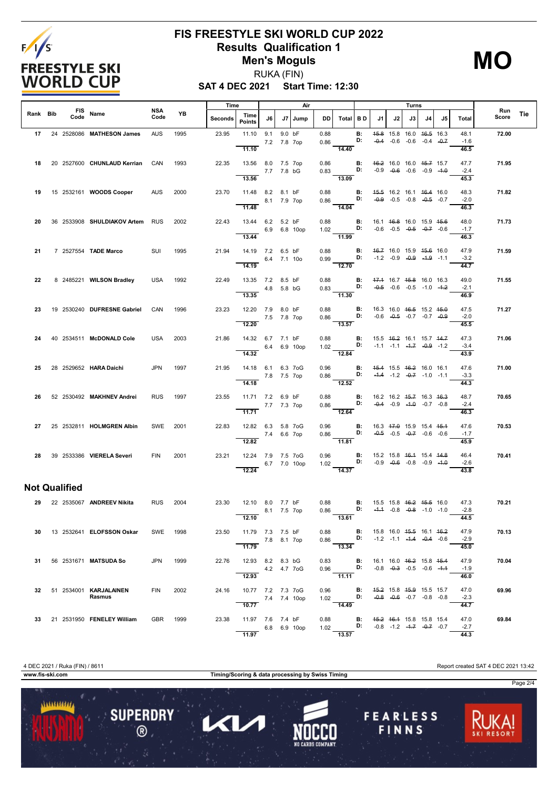

# **FIS FREESTYLE SKI WORLD CUP 2022 Results Qualification 1 Men's Moguls**

**MO**

**SAT 4 DEC 2021 Start Time: 12:30** RUKA (FIN)

|          |                      |                                            | NSA        |          | Time    |                                                |                 |        | Air          | Turns        |                                                                                                                                          | Run            |                                                                          |    |                                                                |    |    |                        |       |     |
|----------|----------------------|--------------------------------------------|------------|----------|---------|------------------------------------------------|-----------------|--------|--------------|--------------|------------------------------------------------------------------------------------------------------------------------------------------|----------------|--------------------------------------------------------------------------|----|----------------------------------------------------------------|----|----|------------------------|-------|-----|
| Rank Bib |                      | FIS Name                                   | Code       | YB       | Seconds | Time<br>Points                                 | J6 I            |        | J7 Jump      | DD I         | Total   B D                                                                                                                              |                | J1                                                                       | J2 | J3                                                             | J4 | J5 | Total                  | Score | Tie |
|          |                      | 17 24 2528086 MATHESON James               | <b>AUS</b> | 1995     | 23.95   | 11.10 9.1<br>11.10                             | 7.2 7.8 7op     | 9.0 bF |              | 0.88<br>0.86 | 14.40                                                                                                                                    | В:<br>D:       |                                                                          |    | 45.8 15.8 16.0 46.5 16.3<br>$-0.4$ $-0.6$ $-0.6$ $-0.4$ $-0.7$ |    |    | 48.1<br>$-1.6$<br>46.5 | 72.00 |     |
| 18       |                      | 20 2527600 CHUNLAUD Kerrian                | CAN        | 1993     | 22.35   | 13.56 8.0 7.5 7op<br>7.7 7.8 bG<br>13.56       |                 |        |              | 0.86<br>0.83 | $\frac{13.09}{ }$                                                                                                                        | B:<br>D:       | 46.2 16.0 16.0 45.7 15.7                                                 |    | $-0.9$ $-0.6$ $-0.6$ $-0.9$ $-4.0$                             |    |    | 47.7<br>$-2.4$<br>45.3 | 71.95 |     |
| 19       |                      | 15 2532161 WOODS Cooper                    | <b>AUS</b> | 2000     | 23.70   | 11.48 8.2 8.1 bF<br>11.48                      | 8.1 7.9 7op     |        |              | 0.88<br>0.86 | D:<br>14.04                                                                                                                              | B:             |                                                                          |    | 45.5 16.2 16.1 46.4 16.0<br>$-0.9$ $-0.5$ $-0.8$ $-0.5$ $-0.7$ |    |    | 48.3<br>$-2.0$<br>46.3 | 71.82 |     |
| 20       |                      | 36 2533908 SHULDIAKOV Artem                | <b>RUS</b> | 2002     | 22.43   | 13.44 6.2 5.2 bF<br>$6.9$ 6.8 10op<br>13.44    |                 |        |              | 0.88         | 1.02 <b>D:</b> $-0.6$ $-0.5$ $-0.5$ $-0.7$ $-0.6$<br>$-11.99$                                                                            | <b>B:</b>      | 16.1 46.8 16.0 15.9 45.6                                                 |    |                                                                |    |    | 48.0<br>$-1.7$<br>46.3 | 71.73 |     |
| 21       |                      | 7 2527554 TADE Marco                       | SUI        | 1995     | 21.94   | 14.19 7.2 6.5 bF<br>14.19                      | 6.4 7.1 10o     |        |              | 0.88<br>0.99 | $\overline{\mathsf{D}}$ :<br>$\frac{1}{12.70}$                                                                                           | $\blacksquare$ |                                                                          |    | 46.7 16.0 15.9 45.6 16.0<br>$-1.2$ $-0.9$ $-0.9$ $-1.9$ $-1.1$ |    |    | 47.9<br>$-3.2$<br>44.7 | 71.59 |     |
| 22       |                      | 8 2485221 WILSON Bradley                   | <b>USA</b> | 1992     | 22.49   | 13.35 7.2 8.5 bF<br>13.35                      | 4.8 5.8 bG      |        |              | 0.88         | $0.83$ D:<br>$\overline{11.30}$                                                                                                          |                | <b>B:</b> 47.4 16.7 45.8 16.0 16.3<br>$-0.5$ $-0.6$ $-0.5$ $-1.0$ $-4.2$ |    |                                                                |    |    | 49.0<br>$-2.1$<br>46.9 | 71.55 |     |
| 23       |                      | 19 2530240 DUFRESNE Gabriel                | CAN        | 1996     | 23.23   | 12.20 7.9 8.0 bF<br>7.5 7.8 7op<br>12.20       |                 |        |              | 0.88<br>0.86 | $\overline{13.57}$                                                                                                                       | B:<br>D:       | 16.3 16.0 <del>16.5</del> 15.2 <del>15.0</del>                           |    | $-0.6$ $-0.5$ $-0.7$ $-0.7$ $-0.9$                             |    |    | 47.5<br>$-2.0$<br>45.5 | 71.27 |     |
| 24       |                      | 40 2534511 McDONALD Cole                   | <b>USA</b> | 2003     | 21.86   | 14.32 6.7 7.1 bF<br>14.32                      |                 |        | 6.4 6.9 10op | 0.88<br>1.02 | $\mathbf{D}$<br>12.84                                                                                                                    | B:             |                                                                          |    | 15.5 46.2 16.1 15.7 44.7<br>$-1.1$ $-1.1$ $-4.7$ $-0.9$ $-1.2$ |    |    | 47.3<br>$-3.4$<br>43.9 | 71.06 |     |
| 25       |                      | 28 2529652 HARA Daichi                     | <b>JPN</b> | 1997     | 21.95   | 14.18  6.1  6.3  7 o G<br>7.8 7.5 7op<br>14.18 |                 |        |              | 0.96<br>0.86 | <b>B:</b> <del>15.4</del> 15.5 <del>16.2</del> 16.0 16.1<br><b>D:</b> -4.4 -1.2 - <del>0.7</del> -1.0 -1.1<br>$\overline{12.52}$         |                |                                                                          |    |                                                                |    |    | 47.6<br>$-3.3$<br>44.3 | 71.00 |     |
| 26       |                      | 52 2530492 MAKHNEV Andrei                  | <b>RUS</b> | 1997     | 23.55   | 11.71 7.2 6.9 bF<br>11.71                      | 7.7 7.3 7op     |        |              | 0.88<br>0.86 | $\overline{D}$ :<br>$-12.64$                                                                                                             | B:             |                                                                          |    | 16.2 16.2 45.7 16.3 46.3<br>$-0.4$ $-0.9$ $-4.0$ $-0.7$ $-0.8$ |    |    | 48.7<br>$-2.4$<br>46.3 | 70.65 |     |
| 27       |                      | 25 2532811 HOLMGREN Albin                  | SWE        | 2001     | 22.83   | 12.82 6.3 5.8 7oG<br>12.82                     | 7.4 6.6 7op     |        |              | 0.96<br>0.86 | D:<br>$-11.81$                                                                                                                           |                | <b>B:</b> 16.3 47.0 15.9 15.4 45.4                                       |    | $-0.5$ $-0.5$ $-0.7$ $-0.6$ $-0.6$                             |    |    | 47.6<br>$-1.7$<br>45.9 | 70.53 |     |
|          |                      | 28 39 2533386 VIERELA Severi               | <b>FIN</b> | 2001     | 23.21   | 12.24 7.9 7.5 7oG<br>$6.7$ 7.0 10op<br>12.24   |                 |        |              | 0.96<br>1.02 | <b>B:</b> 15.2 15.8 <del>16.1</del> 15.4 <del>14.8</del><br>$\overline{14.37}$                                                           |                | <b>D:</b> $-0.9$ $-0.6$ $-0.8$ $-0.9$ $-4.0$                             |    |                                                                |    |    | 46.4<br>$-2.6$<br>43.8 | 70.41 |     |
|          | <b>Not Qualified</b> |                                            |            |          |         |                                                |                 |        |              |              |                                                                                                                                          |                |                                                                          |    |                                                                |    |    |                        |       |     |
|          |                      | 29 22 2535067 ANDREEV Nikita               | <b>RUS</b> | 2004     | 23.30   | 12.10 8.0 7.7 bF<br>8.1 7.5 7op<br>12.10       |                 |        |              | 0.88<br>0.86 | <b>B:</b> 15.5 15.8 <del>16.2</del> <del>15.5</del> 16.0<br><b>D:</b> - <del>1.1</del> -0.8 - <del>0.8</del> -1.0 -1.0<br>13.61          |                |                                                                          |    |                                                                |    |    | 47.3<br>$-2.8$<br>44.5 | 70.21 |     |
|          |                      | 30 13 2532641 ELOFSSON Oskar               |            | SWE 1998 | 23.50   | 11.79 7.3 7.5 bF<br>7.8 8.1 7op<br>11.79       |                 |        |              |              | 0.88 <b>B:</b> 15.8 16.0 <del>15.5</del> 16.1 <del>16.2</del><br>0.86 <b>D:</b> $-1.2$ $-1.1$ $-1.4$ $-0.4$ $-0.6$<br>$\overline{13.34}$ |                |                                                                          |    |                                                                |    |    | 47.9<br>$-2.9$<br>45.0 | 70.13 |     |
|          |                      | 31 56 2531671 MATSUDA So                   | JPN        | 1999     |         | 22.76 12.93 8.2 8.3 bG<br>12.93                | 4.2  4.7  7 o G |        |              |              | 0.83 B: 16.1 16.0 46.2 15.8 45.4<br>$0.96$ D:<br>$\frac{1}{11.11}$                                                                       |                |                                                                          |    | $-0.8$ $-0.3$ $-0.5$ $-0.6$ $-4.4$                             |    |    | 47.9<br>$-1.9$<br>46.0 | 70.04 |     |
|          |                      | 32 51 2534001 KARJALAINEN<br><b>Rasmus</b> | <b>FIN</b> | 2002     | 24.16   | 10.77 7.2 7.3 7oG<br>7.4 7.4 10op<br>10.77     |                 |        |              |              | 0.96 <b>B:</b> 4 <del>5.2</del> 15.8 45.9 15.5 15.7<br>1.02 <b>D:</b> -0.8 -0.6 -0.7 -0.8 -0.8<br>14.49                                  |                |                                                                          |    |                                                                |    |    | 47.0<br>$-2.3$<br>44.7 | 69.96 |     |
|          |                      | 33 21 2531950 FENELEY William              | GBR 1999   |          | 23.38   | 11.97 7.6 7.4 bF<br>6.8 6.9 10ор<br>11.97      |                 |        |              |              | 0.88 <b>B</b> : 4 <del>5.2</del> 46.4 15.8 15.8 15.4<br>1.02 <b>D:</b> -0.8 -1.2 -4.7 -0.7 -0.7<br>$-13.57$                              |                |                                                                          |    |                                                                |    |    | 47.0<br>$-2.7$<br>44.3 | 69.84 |     |

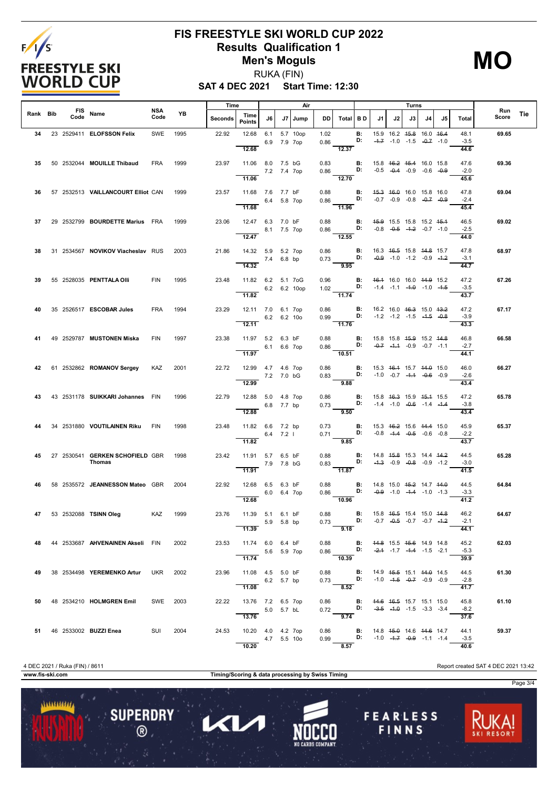

### **FIS FREESTYLE SKI WORLD CUP 2022 Results Qualification 1 Men's Moguls** RUKA (FIN)

**MO**

**SAT 4 DEC 2021 Start Time: 12:30**

|          |                    |                                    |             |      | Time    |                                 |                    |    | Air      |              |                                                                                                      |                                                           |                                                                          |    | Turns                                                          |    |    |                |              |     |
|----------|--------------------|------------------------------------|-------------|------|---------|---------------------------------|--------------------|----|----------|--------------|------------------------------------------------------------------------------------------------------|-----------------------------------------------------------|--------------------------------------------------------------------------|----|----------------------------------------------------------------|----|----|----------------|--------------|-----|
| Rank Bib | <b>FIS</b><br>Code | Name                               | NSA<br>Code | YB   | Seconds | Time<br><b>Points</b>           | J6                 | J7 | Jump     | DD.          | Total BD                                                                                             |                                                           | J1                                                                       | J2 | J3                                                             | J4 | J5 | <b>Total</b>   | Run<br>Score | Tie |
| 34       |                    | 23 2529411 ELOFSSON Felix          | SWE         | 1995 | 22.92   | 12.68                           | 6.1<br>6.9 7.9 7op |    | 5.7 10op | 1.02<br>0.86 |                                                                                                      | В:<br>D:                                                  |                                                                          |    | 15.9 16.2 45.8 16.0 46.4<br>$-4.7$ $-1.0$ $-1.5$ $-0.7$ $-1.0$ |    |    | 48.1<br>$-3.5$ | 69.65        |     |
|          |                    |                                    |             |      |         | 12.68                           |                    |    |          |              | 12.37                                                                                                |                                                           |                                                                          |    |                                                                |    |    | 44.6           |              |     |
| 35       |                    | 50 2532044 MOUILLE Thibaud         | <b>FRA</b>  | 1999 | 23.97   | 11.06 8.0 7.5 bG                | 7.2 7.4 7op        |    |          | 0.83<br>0.86 |                                                                                                      | B:<br>D:                                                  |                                                                          |    | 15.8 46.2 45.4 16.0 15.8<br>$-0.5$ $-0.4$ $-0.9$ $-0.6$ $-0.9$ |    |    | 47.6<br>$-2.0$ | 69.36        |     |
|          |                    |                                    |             |      |         | 11.06                           |                    |    |          |              | 12.70                                                                                                |                                                           |                                                                          |    |                                                                |    |    | 45.6           |              |     |
| 36       |                    | 57 2532513 VAILLANCOURT Elliot CAN |             | 1999 | 23.57   | 11.68 7.6 7.7 bF                | 6.4 5.8 7op        |    |          | 0.88<br>0.86 | D:                                                                                                   |                                                           | <b>B:</b> $45.3$ $46.0$ 16.0 15.8 16.0                                   |    | $-0.7$ $-0.9$ $-0.8$ $-0.7$ $-0.9$                             |    |    | 47.8<br>$-2.4$ | 69.04        |     |
| 37       |                    | 29 2532799 BOURDETTE Marius FRA    |             | 1999 | 23.06   | 11.68<br>12.47 6.3 7.0 bF       |                    |    |          | 0.88         | 11.96                                                                                                | B:                                                        | 45.9 15.5 15.8 15.2 45.4                                                 |    |                                                                |    |    | 45.4<br>46.5   | 69.02        |     |
|          |                    |                                    |             |      |         | 8.1 7.5 7op<br>12.47            |                    |    |          | 0.86         | 12.55                                                                                                |                                                           | <b>D:</b> $-0.8$ $-0.5$ $-4.2$ $-0.7$ $-1.0$                             |    |                                                                |    |    | $-2.5$<br>44.0 |              |     |
| 38       |                    | 31 2534567 NOVIKOV Viacheslav RUS  |             | 2003 | 21.86   | 14.32 5.9 5.2 7op               |                    |    |          | 0.86         |                                                                                                      | B:                                                        |                                                                          |    | 16.3 46.5 15.8 44.8 15.7                                       |    |    | 47.8           | 68.97        |     |
|          |                    |                                    |             |      |         | 14.32                           | 7.4 6.8 bp         |    |          | 0.73         | $\mathbf{D}$<br>$\frac{ }{9.95}$                                                                     |                                                           |                                                                          |    | $-0.9$ $-1.0$ $-1.2$ $-0.9$ $-1.2$                             |    |    | $-3.1$<br>44.7 |              |     |
| 39       |                    | 55 2528035 PENTTALA OIII           | FIN         | 1995 | 23.48   | 11.82 6.2 5.1 7oG               |                    |    |          | 0.96         |                                                                                                      | <b>B:</b> 46.4 16.0 16.0 44.9 15.2                        |                                                                          |    |                                                                |    |    | 47.2           | 67.26        |     |
|          |                    |                                    |             |      |         | 6.2 6.2 10op<br>11.82           |                    |    |          |              | 1.02 <b>D:</b> $-1.4$ $-1.1$ $-4.0$ $-1.0$ $-4.5$<br>11.74                                           |                                                           |                                                                          |    |                                                                |    |    | $-3.5$<br>43.7 |              |     |
| 40       |                    | 35 2526517 ESCOBAR Jules           | <b>FRA</b>  | 1994 | 23.29   | 12.11 7.0 6.1 7op               | 6.2 6.2 10o        |    |          | 0.86         | 0.99 D: -1.2 -1.2 -1.5 -1.5 -0.8                                                                     | <b>B:</b>                                                 |                                                                          |    | 16.2 16.0 <del>16.3</del> 15.0 <del>13.2</del>                 |    |    | 47.2<br>$-3.9$ | 67.17        |     |
|          |                    |                                    |             |      |         | 12.11                           |                    |    |          |              | $-11.76$                                                                                             |                                                           |                                                                          |    |                                                                |    |    | 43.3           |              |     |
| 41       |                    | 49 2529787 MUSTONEN Miska          | <b>FIN</b>  | 1997 | 23.38   | 11.97 5.2 6.3 bF                | 6.1 6.6 7op        |    |          | 0.88<br>0.86 | D:                                                                                                   | <b>B</b> : 15.8 15.8 <del>15.9</del> 15.2 <del>14.8</del> |                                                                          |    | $-0.7$ $-4.4$ $-0.9$ $-0.7$ $-1.1$                             |    |    | 46.8<br>$-2.7$ | 66.58        |     |
|          |                    |                                    |             |      |         | 11.97                           |                    |    |          |              | 10.51                                                                                                |                                                           |                                                                          |    |                                                                |    |    | 44.1           |              |     |
| 42       |                    | 61 2532862 <b>ROMANOV Sergey</b>   | KAZ         | 2001 | 22.72   | 12.99  4.7  4.6  7op            | 7.2 7.0 bG         |    |          | 0.86<br>0.83 |                                                                                                      | <b>B:</b>                                                 | 15.3 46.4 15.7 44.0 15.0<br><b>D:</b> $-1.0$ $-0.7$ $-4.4$ $-0.6$ $-0.9$ |    |                                                                |    |    | 46.0<br>$-2.6$ | 66.27        |     |
| 43       |                    | 43 2531178 SUIKKARI Johannes FIN   |             | 1996 | 22.79   | 12.99<br>12.88 5.0 4.8 7op      |                    |    |          | 0.86         | 9.88                                                                                                 | B:                                                        |                                                                          |    | 15.8 46.3 15.9 45.4 15.5                                       |    |    | 43.4<br>47.2   | 65.78        |     |
|          |                    |                                    |             |      |         | 12.88                           | 6.8 7.7 bp         |    |          | 0.73         | D:<br>9.50                                                                                           |                                                           |                                                                          |    | $-1.4$ $-1.0$ $-0.6$ $-1.4$ $-1.4$                             |    |    | $-3.8$<br>43.4 |              |     |
| 44       |                    | 34 2531880 VOUTILAINEN Riku FIN    |             | 1998 | 23.48   | 11.82 6.6 7.2 bp                |                    |    |          | 0.73         |                                                                                                      | <b>B:</b> 15.3 46.2 15.6 44.4 15.0                        |                                                                          |    |                                                                |    |    | 45.9           | 65.37        |     |
|          |                    |                                    |             |      |         | 11.82                           | $6.4$ 7.2          |    |          | 0.71         | 9.85                                                                                                 | <b>D:</b> $-0.8$ $-4.4$ $-0.5$ $-0.6$ $-0.8$              |                                                                          |    |                                                                |    |    | $-2.2$<br>43.7 |              |     |
|          |                    | 45 27 2530541 GERKEN SCHOFIELD GBR |             | 1998 | 23.42   | 11.91 5.7 6.5 bF                |                    |    |          | 0.88         |                                                                                                      | $\mathbf{B}$ :                                            |                                                                          |    | 14.8 45.8 15.3 14.4 44.2                                       |    |    | 44.5           | 65.28        |     |
|          |                    | Thomas                             |             |      |         | 11.91                           | 7.9 7.8 bG         |    |          |              | $0.83$ D:<br>$\frac{1}{11.87}$                                                                       |                                                           |                                                                          |    | $-4.3$ $-0.9$ $-0.8$ $-0.9$ $-1.2$                             |    |    | $-3.0$<br>41.5 |              |     |
| 46       |                    | 58 2535572 JEANNESSON Mateo GBR    |             | 2004 | 22.92   | 12.68 6.5 6.3 bF                | 6.0 6.4 7op        |    |          | 0.88<br>0.86 |                                                                                                      | D:                                                        | <b>B:</b> 14.8 15.0 <del>15.2</del> 14.7 <del>14.0</del>                 |    | $-0.9$ $-1.0$ $-4.4$ $-1.0$ $-1.3$                             |    |    | 44.5<br>$-3.3$ | 64.84        |     |
|          |                    |                                    |             |      |         | 12.68                           |                    |    |          |              | 10.96                                                                                                |                                                           |                                                                          |    |                                                                |    |    | 41.2           |              |     |
|          |                    | 47 53 2532088 TSINN Oleg KAZ 1999  |             |      | 23.76   | 11.39 5.1 6.1 bF                | 5.9 5.8 bp         |    |          | 0.88<br>0.73 |                                                                                                      | <b>D:</b> $-0.7$ $-0.5$ $-0.7$ $-0.7$ $-4.2$              | <b>B:</b> 15.8 46.5 15.4 15.0 44.8                                       |    |                                                                |    |    | 46.2<br>$-2.1$ | 64.67        |     |
|          |                    |                                    |             |      |         | 11.39                           |                    |    |          |              | 9.18                                                                                                 |                                                           |                                                                          |    |                                                                |    |    | 44.1           |              |     |
| 48       |                    | 44 2533687 AHVENAINEN Akseli FIN   |             | 2002 | 23.53   | 11.74 6.0 6.4 bF<br>5.6 5.9 7op |                    |    |          |              | 0.88 <b>B:</b> 44.8 15.5 45.6 14.9 14.8 0.86 <b>D:</b> -2.4 -1.7 -4.4 -1.5 -2.1<br>$\frac{1}{10.39}$ |                                                           |                                                                          |    |                                                                |    |    | 45.2<br>$-5.3$ | 62.03        |     |
| 49       |                    | 38 2534498 YEREMENKO Artur UKR     |             | 2002 | 23.96   | 11.74<br>11.08  4.5  5.0 bF     |                    |    |          | 0.88         |                                                                                                      | B:                                                        | 14.9 45.5 15.1 44.0 14.5                                                 |    |                                                                |    |    | 39.9<br>44.5   | 61.30        |     |
|          |                    |                                    |             |      |         | 11.08                           | 6.2 5.7 bp         |    |          |              | 0.73 $D:$ -1.0 		 -4.5 		 -0.7 		 -0.9 		 -0.9<br>8.52                                               |                                                           |                                                                          |    |                                                                |    |    | $-2.8$<br>41.7 |              |     |
|          |                    | 50 48 2534210 HOLMGREN Emil        | SWE 2003    |      | 22.22   | 13.76 7.2 6.5 7op               |                    |    |          |              | 0.86 <b>B:</b> 44.6 46.5 15.7 15.1 15.0                                                              |                                                           |                                                                          |    |                                                                |    |    | 45.8           | 61.10        |     |
|          |                    |                                    |             |      |         | 5.0 5.7 bL<br>13.76             |                    |    |          |              | 0.72 <b>D:</b> $-3.5$ $-4.0$ $-1.5$ $-3.3$ $-3.4$<br>$\overline{9.74}$                               |                                                           |                                                                          |    |                                                                |    |    | $-8.2$<br>37.6 |              |     |
|          |                    | 51 46 2533002 <b>BUZZI Enea</b>    | SUI 2004    |      | 24.53   | 10.20  4.0  4.2  7op            |                    |    |          |              | 0.86 <b>B:</b> 14.8 45.0 14.6 44.6 14.7                                                              |                                                           |                                                                          |    |                                                                |    |    | 44.1           | 59.37        |     |
|          |                    |                                    |             |      |         | 10.20                           | 4.7 5.5 10o        |    |          | 0.99         | <b>D:</b> $-1.0$ $-4.7$ $-0.9$ $-1.1$ $-1.4$<br>8.57                                                 |                                                           |                                                                          |    |                                                                |    |    | $-3.5$<br>40.6 |              |     |

4 DEC 2021 / Ruka (FIN) / 8611 Report created SAT 4 DEC 2021 13:42

...........

**SUPERDRY** 

 $\circledR$ 

Π

 $\blacktriangleleft$ 

**www.fis-ski.com Timing/Scoring & data processing by Swiss Timing**

Page 3/4**FEARLESS** FINNS